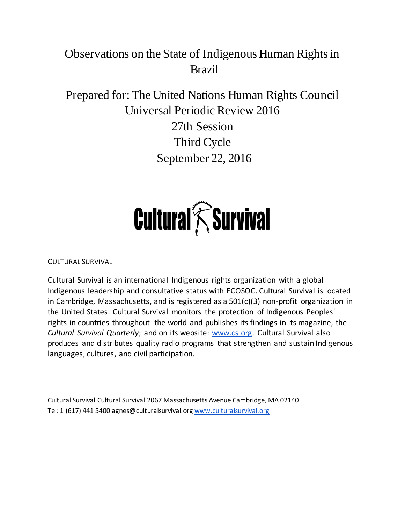# Observations on the State of Indigenous Human Rights in Brazil

Prepared for: The United Nations Human Rights Council Universal Periodic Review 2016

> 27th Session Third Cycle September 22, 2016

# **Cultural** *K* Survival

CULTURAL SURVIVAL

Cultural Survival is an international Indigenous rights organization with a global Indigenous leadership and consultative status with ECOSOC. Cultural Survival is located in Cambridge, Massachusetts, and is registered as a 501(c)(3) non-profit organization in the United States. Cultural Survival monitors the protection of Indigenous Peoples' rights in countries throughout the world and publishes its findings in its magazine, the *Cultural Survival Quarterly*; and on its website: www.cs.org. Cultural Survival also produces and distributes quality radio programs that strengthen and sustain Indigenous languages, cultures, and civil participation.

Cultural Survival Cultural Survival 2067 Massachusetts Avenue Cambridge, MA 02140 Tel: 1 (617) 441 5400 agnes@culturalsurvival.org www.culturalsurvival.org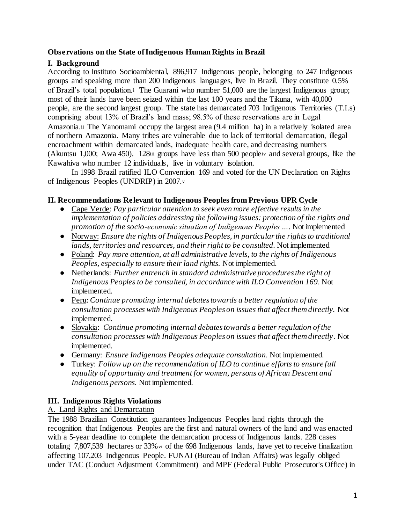#### **Observations on the State of Indigenous Human Rights in Brazil**

# **I. Background**

According to Instituto Socioambiental, 896,917 Indigenous people, belonging to 247 Indigenous groups and speaking more than 200 Indigenous languages, live in Brazil. They constitute 0.5% of Brazil's total population.<sup>i</sup> The Guarani who number 51,000 are the largest Indigenous group; most of their lands have been seized within the last 100 years and the Tikuna, with 40,000 people, are the second largest group. The state has demarcated 703 Indigenous Territories (T.I.s) comprising about 13% of Brazil's land mass; 98.5% of these reservations are in Legal Amazonia.ii The Yanomami occupy the largest area (9.4 million ha) in a relatively isolated area of northern Amazonia. Many tribes are vulnerable due to lack of territorial demarcation, illegal encroachment within demarcated lands, inadequate health care, and decreasing numbers (Akuntsu 1,000; Awa 450). 128iii groups have less than 500 peopleiv and several groups, like the Kawahiva who number 12 individuals, live in voluntary isolation.

In 1998 Brazil ratified ILO Convention 169 and voted for the UN Declaration on Rights of Indigenous Peoples (UNDRIP) in 2007.<sup>v</sup>

# **II. Recommendations Relevant to Indigenous Peoples from Previous UPR Cycle**

- Cape Verde: *Pay particular attention to seek even more effective results in the implementation of policies addressing the following issues: protection of the rights and promotion of the socio-economic situation of Indigenous Peoples …*. Not implemented
- Norway: *Ensure the rights of Indigenous Peoples, in particular the rights to traditional lands, territories and resources, and their right to be consulted.* Not implemented
- Poland: *Pay more attention, at all administrative levels, to the rights of Indigenous Peoples, especially to ensure their land rights.* Not implemented.
- Netherlands: *Further entrench in standard administrative procedures the right of Indigenous Peoples to be consulted, in accordance with ILO Convention 169*. Not implemented.
- Peru: *Continue promoting internal debates towards a better regulation of the consultation processes with Indigenous Peoples on issues that affect them directly.* Not implemented.
- Slovakia: *Continue promoting internal debates towards a better regulation of the consultation processes with Indigenous Peoples on issues that affect them directly*. Not implemented.
- Germany: *Ensure Indigenous Peoples adequate consultation.* Not implemented.
- Turkey: *Follow up on the recommendation of ILO to continue efforts to ensure full equality of opportunity and treatment for women, persons of African Descent and Indigenous persons.* Not implemented.

# **III. Indigenous Rights Violations**

# A. Land Rights and Demarcation

The 1988 Brazilian Constitution guarantees Indigenous Peoples land rights through the recognition that Indigenous Peoples are the first and natural owners of the land and was enacted with a 5-year deadline to complete the demarcation process of Indigenous lands. 228 cases totaling 7,807,539 hectares or 33%vi of the 698 Indigenous lands, have yet to receive finalization affecting 107,203 Indigenous People. FUNAI (Bureau of Indian Affairs) was legally obliged under TAC (Conduct Adjustment Commitment) and MPF (Federal Public Prosecutor's Office) in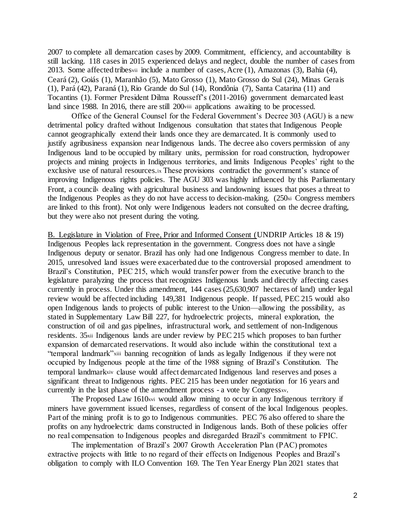2007 to complete all demarcation cases by 2009. Commitment, efficiency, and accountability is still lacking. 118 cases in 2015 experienced delays and neglect, double the number of cases from 2013. Some affected tribesvii include a number of cases, Acre (1), Amazonas (3), Bahia (4), Ceará (2), Goiás (1), Maranhão (5), Mato Grosso (1), Mato Grosso do Sul (24), Minas Gerais (1), Pará (42), Paraná (1), Rio Grande do Sul (14), Rondônia (7), Santa Catarina (11) and Tocantins (1). Former President Dilma Rousseff's (2011-2016) government demarcated least land since 1988. In 2016, there are still 200viii applications awaiting to be processed.

Office of the General Counsel for the Federal Government's Decree 303 (AGU) is a new detrimental policy drafted without Indigenous consultation that states that Indigenous People cannot geographically extend their lands once they are demarcated. It is commonly used to justify agribusiness expansion near Indigenous lands. The decree also covers permission of any Indigenous land to be occupied by military units, permission for road construction, hydropower projects and mining projects in Indigenous territories, and limits Indigenous Peoples' right to the exclusive use of natural resources.ix These provisions contradict the government's stance of improving Indigenous rights policies. The AGU 303 was highly influenced by this Parliamentary Front, a council is dealing with agricultural business and landowning issues that poses a threat to the Indigenous Peoples as they do not have access to decision-making. (250xi Congress members are linked to this front). Not only were Indigenous leaders not consulted on the decree drafting, but they were also not present during the voting.

B. Legislature in Violation of Free, Prior and Informed Consent (UNDRIP Articles 18 & 19) Indigenous Peoples lack representation in the government. Congress does not have a single Indigenous deputy or senator. Brazil has only had one Indigenous Congress member to date. In 2015, unresolved land issues were exacerbated due to the controversial proposed amendment to Brazil's Constitution, PEC 215, which would transfer power from the executive branch to the legislature paralyzing the process that recognizes Indigenous lands and directly affecting cases currently in process. Under this amendment, 144 cases (25,630,907 hectares of land) under legal review would be affected including 149,381 Indigenous people. If passed, PEC 215 would also open Indigenous lands to projects of public interest to the Union—allowing the possibility, as stated in Supplementary Law Bill 227, for hydroelectric projects, mineral exploration, the construction of oil and gas pipelines, infrastructural work, and settlement of non-Indigenous residents. 35xii Indigenous lands are under review by PEC 215 which proposes to ban further expansion of demarcated reservations. It would also include within the constitutional text a "temporal landmark"xiii banning recognition of lands as legally Indigenous if they were not occupied by Indigenous people at the time of the 1988 signing of Brazil's Constitution. The temporal landmarkxiv clause would affect demarcated Indigenous land reserves and poses a significant threat to Indigenous rights. PEC 215 has been under negotiation for 16 years and currently in the last phase of the amendment process - a vote by Congressxv.

The Proposed Law 1610xvi would allow mining to occur in any Indigenous territory if miners have government issued licenses, regardless of consent of the local Indigenous peoples. Part of the mining profit is to go to Indigenous communities. PEC 76 also offered to share the profits on any hydroelectric dams constructed in Indigenous lands. Both of these policies offer no real compensation to Indigenous peoples and disregarded Brazil's commitment to FPIC.

The implementation of Brazil's 2007 Growth Acceleration Plan (PAC) promotes extractive projects with little to no regard of their effects on Indigenous Peoples and Brazil's obligation to comply with ILO Convention 169. The Ten Year Energy Plan 2021 states that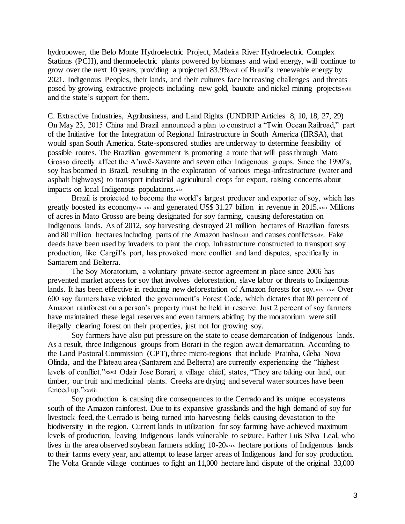hydropower, the Belo Monte Hydroelectric Project, Madeira River Hydroelectric Complex Stations (PCH), and thermoelectric plants powered by biomass and wind energy, will continue to grow over the next 10 years, providing a projected 83.9% xvii of Brazil's renewable energy by 2021. Indigenous Peoples, their lands, and their cultures face increasing challenges and threats posed by growing extractive projects including new gold, bauxite and nickel mining projects xviii and the state's support for them.

C. Extractive Industries, Agribusiness, and Land Rights (UNDRIP Articles 8, 10, 18, 27, 29) On May 23, 2015 China and Brazil announced a plan to construct a "Twin Ocean Railroad," part of the Initiative for the Integration of Regional Infrastructure in South America (IIRSA), that would span South America. State-sponsored studies are underway to determine feasibility of possible routes. The Brazilian government is promoting a route that will pass through Mato Grosso directly affect the A'uwẽ-Xavante and seven other Indigenous groups. Since the 1990's, soy has boomed in Brazil, resulting in the exploration of various mega-infrastructure (water and asphalt highways) to transport industrial agricultural crops for export, raising concerns about impacts on local Indigenous populations.xix

Brazil is projected to become the world's largest producer and exporter of soy, which has greatly boosted its economyxx xxi and generated US\$ 31.27 billion in revenue in 2015.xxii Millions of acres in Mato Grosso are being designated for soy farming, causing deforestation on Indigenous lands. As of 2012, soy harvesting destroyed 21 million hectares of Brazilian forests and 80 million hectares including parts of the Amazon basinxxiii and causes conflictsxxiv. Fake deeds have been used by invaders to plant the crop. Infrastructure constructed to transport soy production, like Cargill's port, has provoked more conflict and land disputes, specifically in Santarem and Belterra.

The Soy Moratorium, a voluntary private-sector agreement in place since 2006 has prevented market access for soy that involves deforestation, slave labor or threats to Indigenous lands. It has been effective in reducing new deforestation of Amazon forests for soy. xxv xxvi Over 600 soy farmers have violated the government's Forest Code, which dictates that 80 percent of Amazon rainforest on a person's property must be held in reserve. Just 2 percent of soy farmers have maintained these legal reserves and even farmers abiding by the moratorium were still illegally clearing forest on their properties, just not for growing soy.

Soy farmers have also put pressure on the state to cease demarcation of Indigenous lands. As a result, three Indigenous groups from Borari in the region await demarcation. According to the Land Pastoral Commission (CPT), three micro-regions that include Prainha, Gleba Nova Olinda, and the Plateau area (Santarem and Belterra) are currently experiencing the "highest levels of conflict."xxvii Odair Jose Borari, a village chief, states, "They are taking our land, our timber, our fruit and medicinal plants. Creeks are drying and several water sources have been fenced up."xxviii

Soy production is causing dire consequences to the Cerrado and its unique ecosystems south of the Amazon rainforest. Due to its expansive grasslands and the high demand of soy for livestock feed, the Cerrado is being turned into harvesting fields causing devastation to the biodiversity in the region. Current lands in utilization for soy farming have achieved maximum levels of production, leaving Indigenous lands vulnerable to seizure. Father Luis Silva Leal, who lives in the area observed soybean farmers adding 10-20xxix hectare portions of Indigenous lands to their farms every year, and attempt to lease larger areas of Indigenous land for soy production. The Volta Grande village continues to fight an 11,000 hectare land dispute of the original 33,000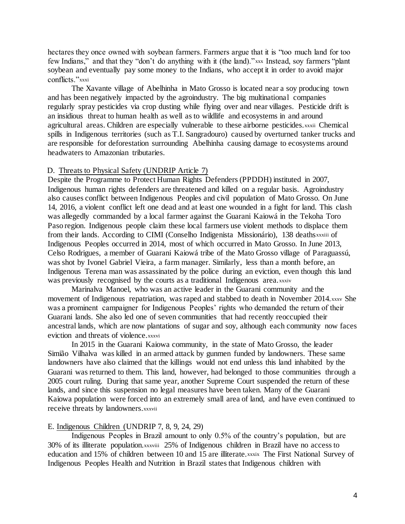hectares they once owned with soybean farmers. Farmers argue that it is "too much land for too few Indians," and that they "don't do anything with it (the land)."xxx Instead, soy farmers "plant soybean and eventually pay some money to the Indians, who accept it in order to avoid major conflicts."xxxi

The Xavante village of Abelhinha in Mato Grosso is located near a soy producing town and has been negatively impacted by the agroindustry. The big multinational companies regularly spray pesticides via crop dusting while flying over and near villages. Pesticide drift is an insidious threat to human health as well as to wildlife and ecosystems in and around agricultural areas. Children are especially vulnerable to these airborne pesticides.xxxii Chemical spills in Indigenous territories (such as T.I. Sangradouro) caused by overturned tanker trucks and are responsible for deforestation surrounding Abelhinha causing damage to ecosystems around headwaters to Amazonian tributaries.

#### D. Threats to Physical Safety (UNDRIP Article 7)

Despite the Programme to Protect Human Rights Defenders (PPDDH) instituted in 2007, Indigenous human rights defenders are threatened and killed on a regular basis. Agroindustry also causes conflict between Indigenous Peoples and civil population of Mato Grosso. On June 14, 2016, a violent conflict left one dead and at least one wounded in a fight for land. This clash was allegedly commanded by a local farmer against the Guarani Kaiowá in the Tekoha Toro Paso region. Indigenous people claim these local farmers use violent methods to displace them from their lands. According to CIMI (Conselho Indigenista Missionário), 138 deathsxxxiii of Indigenous Peoples occurred in 2014, most of which occurred in Mato Grosso. In June 2013, Celso Rodrigues, a member of Guarani Kaiowá tribe of the Mato Grosso village of Paraguassú, was shot by Ivonel Gabriel Vieira, a farm manager. Similarly, less than a month before, an Indigenous Terena man was assassinated by the police during an eviction, even though this land was previously recognised by the courts as a traditional Indigenous area.xxxiv

Marinalva Manoel, who was an active leader in the Guarani community and the movement of Indigenous repatriation, was raped and stabbed to death in November 2014.xxxv She was a prominent campaigner for Indigenous Peoples' rights who demanded the return of their Guarani lands. She also led one of seven communities that had recently reoccupied their ancestral lands, which are now plantations of sugar and soy, although each community now faces eviction and threats of violence.xxxvi

In 2015 in the Guarani Kaiowa community, in the state of Mato Grosso, the leader Simião Vilhalva was killed in an armed attack by gunmen funded by landowners. These same landowners have also claimed that the killings would not end unless this land inhabited by the Guarani was returned to them. This land, however, had belonged to those communities through a 2005 court ruling. During that same year, another Supreme Court suspended the return of these lands, and since this suspension no legal measures have been taken. Many of the Guarani Kaiowa population were forced into an extremely small area of land, and have even continued to receive threats by landowners.xxxvii

#### E. Indigenous Children (UNDRIP 7, 8, 9, 24, 29)

Indigenous Peoples in Brazil amount to only 0.5% of the country's population, but are 30% of its illiterate population.xxxviii 25% of Indigenous children in Brazil have no access to education and 15% of children between 10 and 15 are illiterate.xxxix The First National Survey of Indigenous Peoples Health and Nutrition in Brazil states that Indigenous children with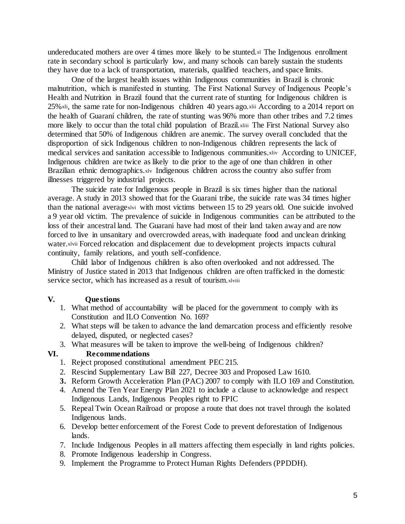undereducated mothers are over 4 times more likely to be stunted.xl The Indigenous enrollment rate in secondary school is particularly low, and many schools can barely sustain the students they have due to a lack of transportation, materials, qualified teachers, and space limits.

One of the largest health issues within Indigenous communities in Brazil is chronic malnutrition, which is manifested in stunting. The First National Survey of Indigenous People's Health and Nutrition in Brazil found that the current rate of stunting for Indigenous children is 25% xli, the same rate for non-Indigenous children 40 years ago.xlii According to a 2014 report on the health of Guaraní children, the rate of stunting was 96% more than other tribes and 7.2 times more likely to occur than the total child population of Brazil.xliii The First National Survey also determined that 50% of Indigenous children are anemic. The survey overall concluded that the disproportion of sick Indigenous children to non-Indigenous children represents the lack of medical services and sanitation accessible to Indigenous communities.xliv According to UNICEF, Indigenous children are twice as likely to die prior to the age of one than children in other Brazilian ethnic demographics.xlv Indigenous children across the country also suffer from illnesses triggered by industrial projects.

The suicide rate for Indigenous people in Brazil is six times higher than the national average. A study in 2013 showed that for the Guarani tribe, the suicide rate was 34 times higher than the national averagexlvi with most victims between 15 to 29 years old. One suicide involved a 9 year old victim. The prevalence of suicide in Indigenous communities can be attributed to the loss of their ancestral land. The Guarani have had most of their land taken away and are now forced to live in unsanitary and overcrowded areas, with inadequate food and unclean drinking water.xlvii Forced relocation and displacement due to development projects impacts cultural continuity, family relations, and youth self-confidence.

Child labor of Indigenous children is also often overlooked and not addressed. The Ministry of Justice stated in 2013 that Indigenous children are often trafficked in the domestic service sector, which has increased as a result of tourism.xlviii

#### **V. Questions**

- 1. What method of accountability will be placed for the government to comply with its Constitution and ILO Convention No. 169?
- 2. What steps will be taken to advance the land demarcation process and efficiently resolve delayed, disputed, or neglected cases?
- 3. What measures will be taken to improve the well-being of Indigenous children?

#### **VI. Recommendations**

- 1. Reject proposed constitutional amendment PEC 215.
- 2. Rescind Supplementary Law Bill 227, Decree 303 and Proposed Law 1610.
- **3.** Reform Growth Acceleration Plan (PAC) 2007 to comply with ILO 169 and Constitution.
- 4. Amend the Ten Year Energy Plan 2021 to include a clause to acknowledge and respect Indigenous Lands, Indigenous Peoples right to FPIC
- 5. Repeal Twin Ocean Railroad or propose a route that does not travel through the isolated Indigenous lands.
- 6. Develop better enforcement of the Forest Code to prevent deforestation of Indigenous lands.
- 7. Include Indigenous Peoples in all matters affecting them especially in land rights policies.
- 8. Promote Indigenous leadership in Congress.
- 9. Implement the Programme to Protect Human Rights Defenders (PPDDH).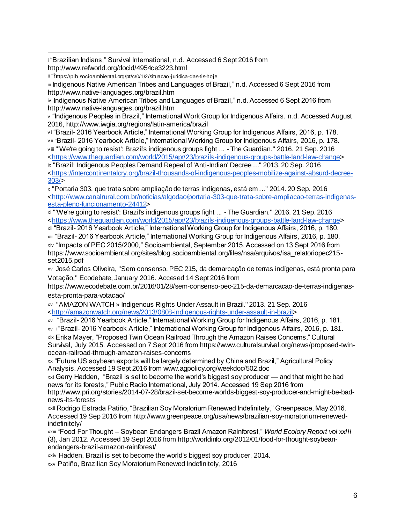l

<sup>v</sup> "Indigenous Peoples in Brazil," International Work Group for Indigenous Affairs. n.d. Accessed August 2016, http://www.iwgia.org/regions/latin-america/brazil

vi "Brazil- 2016 Yearbook Article," International Working Group for Indigenous Affairs, 2016, p. 178. vii "Brazil- 2016 Yearbook Article," International Working Group for Indigenous Affairs, 2016, p. 178. v iii "'We're going to resist': Brazil's indigenous groups fight ... - The Guardian." 2016. 21 Sep. 2016

<https://www.theguardian.com/world/2015/apr/23/brazils-indigenous-groups-battle-land-law-change>

ix "Brazil: Indigenous Peoples Demand Repeal of 'Anti-Indian' Decree ..." 2013. 20 Sep. 2016 <https://intercontinentalcry.org/brazil-thousands-of-indigenous-peoples-mobilize-against-absurd-decree-303/>

<sup>x</sup> "Portaria 303, que trata sobre ampliação de terras indígenas, está em ..." 2014. 20 Sep. 2016 <http://www.canalrural.com.br/noticias/algodao/portaria-303-que-trata-sobre-ampliacao-terras-indigenasesta-pleno-funcionamento-24412>

xi "'We're going to resist': Brazil's indigenous groups fight ... - The Guardian." 2016. 21 Sep. 2016 <https://www.theguardian.com/world/2015/apr/23/brazils-indigenous-groups-battle-land-law-change>

xii "Brazil- 2016 Yearbook Article," International Working Group for Indigenous Affairs, 2016, p. 180. xiii "Brazil- 2016 Yearbook Article," International Working Group for Indigenous Affairs, 2016, p. 180.

xiv "Impacts of PEC 2015/2000," Socioambiental, September 2015. Accessed on 13 Sept 2016 from https://www.socioambiental.org/sites/blog.socioambiental.org/files/nsa/arquivos/isa\_relatoriopec215 set2015.pdf

xv José Carlos Oliveira, "Sem consenso, PEC 215, da demarcação de terras indígenas, está pronta para Votação," Ecodebate, January 2016. Accesed 14 Sept 2016 from

https://www.ecodebate.com.br/2016/01/28/sem-consenso-pec-215-da-demarcacao-de-terras-indigenasesta-pronta-para-votacao/

xv i "AMAZON WATCH » Indigenous Rights Under Assault in Brazil." 2013. 21 Sep. 2016 <http://amazonwatch.org/news/2013/0808-indigenous-rights-under-assault-in-brazil>

xvii "Brazil- 2016 Yearbook Article," International Working Group for Indigenous Affairs, 2016, p. 181. xv iii "Brazil- 2016 Yearbook Article," International Working Group for Indigenous Affairs, 2016, p. 181. xix Erika Mayer, "Proposed Twin Ocean Railroad Through the Amazon Raises Concerns," Cultural Survival, July 2015. Accessed on 7 Sept 2016 from https://www.culturalsurvival.org/news/proposed-twinocean-railroad-through-amazon-raises-concerns

xx "Future US soybean exports will be largely determined by China and Brazil," Agricultural Policy Analysis. Accessed 19 Sept 2016 from www.agpolicy.org/weekdoc/502.doc

xxi Gerry Hadden, "Brazil is set to become the world's biggest soy producer — and that might be bad news for its forests," Public Radio International, July 2014. Accessed 19 Sep 2016 from

http://www.pri.org/stories/2014-07-28/brazil-set-become-worlds-biggest-soy-producer-and-might-be-badnews-its-forests

xxii Rodrigo Estrada Patiño, "Brazilian Soy Moratorium Renewed Indefinitely," Greenpeace, May 2016. Accessed 19 Sep 2016 from http://www.greenpeace.org/usa/news/brazilian-soy-moratorium-renewedindefinitely/

xxiii "Food For Thought – Soybean Endangers Brazil Amazon Rainforest," *World Ecolory Report vol xxIII* (3), Jan 2012. Accessed 19 Sept 2016 from http://worldinfo.org/2012/01/food-for-thought-soybeanendangers-brazil-amazon-rainforest/

xxiv Hadden, Brazil is set to become the world's biggest soy producer, 2014.

xxv Patiño, Brazilian Soy Moratorium Renewed Indefinitely, 2016

<sup>i</sup> "Brazilian Indians," Survival International, n.d. Accessed 6 Sept 2016 from http://www.refworld.org/docid/4954ce3223.html

ii "https://pib.socioambiental.org/pt/c/0/1/2/situacao-juridica-das-tis-hoje

iii Indigenous Native American Tribes and Languages of Brazil," n.d. Accessed 6 Sept 2016 from http://www.native-languages.org/brazil.htm

iv Indigenous Native American Tribes and Languages of Brazil," n.d. Accessed 6 Sept 2016 from http://www.native-languages.org/brazil.htm